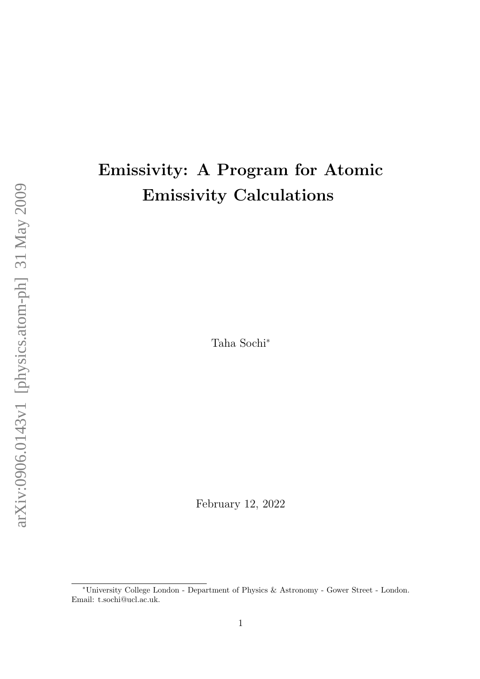# Emissivity: A Program for Atomic Emissivity Calculations

Taha Sochi<sup>∗</sup>

February 12, 2022

<sup>∗</sup>University College London - Department of Physics & Astronomy - Gower Street - London. Email: t.sochi@ucl.ac.uk.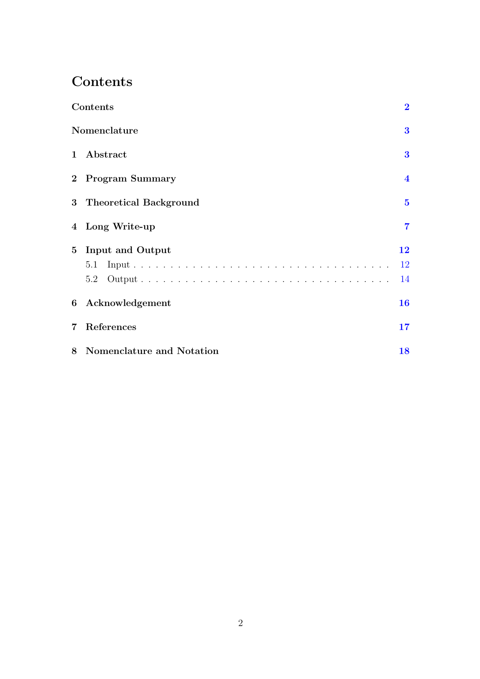# <span id="page-1-0"></span>Contents

|                | Contents                    | $\overline{\mathbf{2}}$ |
|----------------|-----------------------------|-------------------------|
|                | Nomenclature                | $\bf{3}$                |
|                | 1 Abstract                  | $\bf{3}$                |
|                | 2 Program Summary           | $\overline{\mathbf{4}}$ |
|                | 3 Theoretical Background    | $\overline{\mathbf{5}}$ |
|                | 4 Long Write-up             | $\overline{7}$          |
| 5 <sup>5</sup> | Input and Output            | 12                      |
|                | 5.1                         | <b>12</b>               |
|                | 5.2                         | 14                      |
|                | 6 Acknowledgement           | 16                      |
| $\overline{7}$ | References                  | 17                      |
|                | 8 Nomenclature and Notation | 18                      |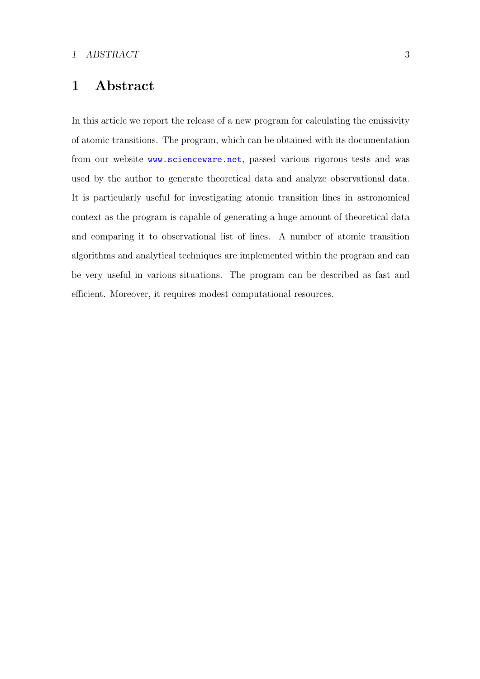### <span id="page-2-0"></span>1 Abstract

In this article we report the release of a new program for calculating the emissivity of atomic transitions. The program, which can be obtained with its documentation from our website <www.scienceware.net>, passed various rigorous tests and was used by the author to generate theoretical data and analyze observational data. It is particularly useful for investigating atomic transition lines in astronomical context as the program is capable of generating a huge amount of theoretical data and comparing it to observational list of lines. A number of atomic transition algorithms and analytical techniques are implemented within the program and can be very useful in various situations. The program can be described as fast and efficient. Moreover, it requires modest computational resources.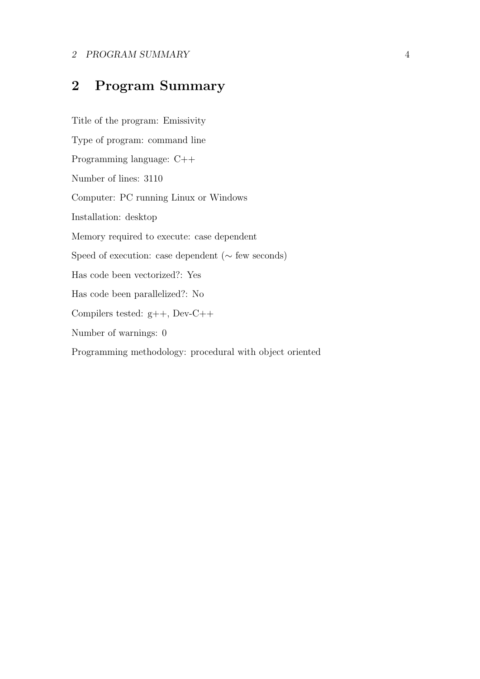#### 2 PROGRAM SUMMARY 4

## <span id="page-3-0"></span>2 Program Summary

Title of the program: Emissivity Type of program: command line Programming language: C++ Number of lines: 3110 Computer: PC running Linux or Windows Installation: desktop Memory required to execute: case dependent Speed of execution: case dependent (∼ few seconds) Has code been vectorized?: Yes Has code been parallelized?: No Compilers tested: g++, Dev-C++ Number of warnings: 0 Programming methodology: procedural with object oriented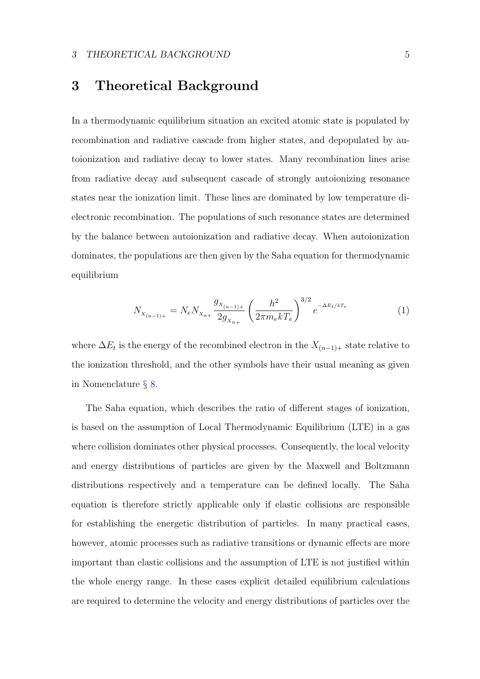### <span id="page-4-0"></span>3 Theoretical Background

In a thermodynamic equilibrium situation an excited atomic state is populated by recombination and radiative cascade from higher states, and depopulated by autoionization and radiative decay to lower states. Many recombination lines arise from radiative decay and subsequent cascade of strongly autoionizing resonance states near the ionization limit. These lines are dominated by low temperature dielectronic recombination. The populations of such resonance states are determined by the balance between autoionization and radiative decay. When autoionization dominates, the populations are then given by the Saha equation for thermodynamic equilibrium

$$
N_{X_{(n-1)+}} = N_e N_{X_{n+}} \frac{g_{X_{(n-1)+}}}{2g_{X_{n+}}} \left(\frac{h^2}{2\pi m_e k T_e}\right)^{3/2} e^{-\Delta E_t/k T_e}
$$
(1)

where  $\Delta E_t$  is the energy of the recombined electron in the  $X_{(n-1)+}$  state relative to the ionization threshold, and the other symbols have their usual meaning as given in Nomenclature § [8.](#page-17-0)

The Saha equation, which describes the ratio of different stages of ionization, is based on the assumption of Local Thermodynamic Equilibrium (LTE) in a gas where collision dominates other physical processes. Consequently, the local velocity and energy distributions of particles are given by the Maxwell and Boltzmann distributions respectively and a temperature can be defined locally. The Saha equation is therefore strictly applicable only if elastic collisions are responsible for establishing the energetic distribution of particles. In many practical cases, however, atomic processes such as radiative transitions or dynamic effects are more important than elastic collisions and the assumption of LTE is not justified within the whole energy range. In these cases explicit detailed equilibrium calculations are required to determine the velocity and energy distributions of particles over the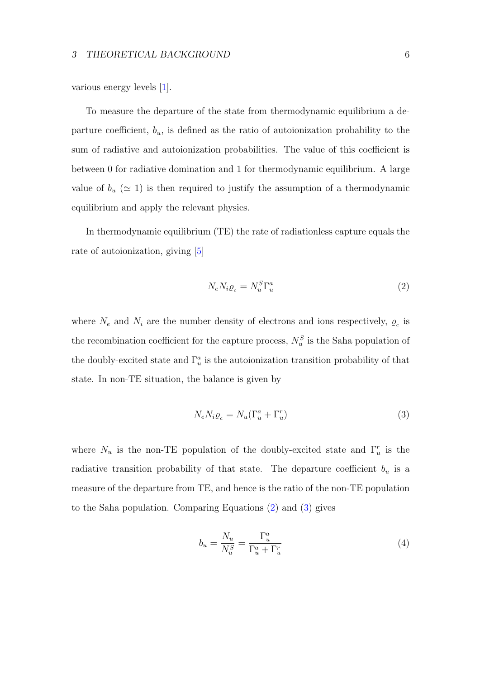<span id="page-5-2"></span>various energy levels [\[1\]](#page-16-1).

To measure the departure of the state from thermodynamic equilibrium a departure coefficient,  $b_u$ , is defined as the ratio of autoionization probability to the sum of radiative and autoionization probabilities. The value of this coefficient is between 0 for radiative domination and 1 for thermodynamic equilibrium. A large value of  $b_u \ (\simeq 1)$  is then required to justify the assumption of a thermodynamic equilibrium and apply the relevant physics.

In thermodynamic equilibrium (TE) the rate of radiationless capture equals the rate of autoionization, giving [\[5\]](#page-16-2)

<span id="page-5-0"></span>
$$
N_e N_i \varrho_c = N_u^S \Gamma_u^a \tag{2}
$$

where  $N_e$  and  $N_i$  are the number density of electrons and ions respectively,  $\rho_c$  is the recombination coefficient for the capture process,  $N_u^S$  is the Saha population of the doubly-excited state and  $\Gamma_u^a$  is the autoionization transition probability of that state. In non-TE situation, the balance is given by

<span id="page-5-1"></span>
$$
N_e N_i \varrho_c = N_u (\Gamma_u^a + \Gamma_u^r) \tag{3}
$$

where  $N_u$  is the non-TE population of the doubly-excited state and  $\Gamma_u^r$  is the radiative transition probability of that state. The departure coefficient  $b_u$  is a measure of the departure from TE, and hence is the ratio of the non-TE population to the Saha population. Comparing Equations [\(2\)](#page-5-0) and [\(3\)](#page-5-1) gives

$$
b_u = \frac{N_u}{N_u^S} = \frac{\Gamma_u^a}{\Gamma_u^a + \Gamma_u^r}
$$
\n<sup>(4)</sup>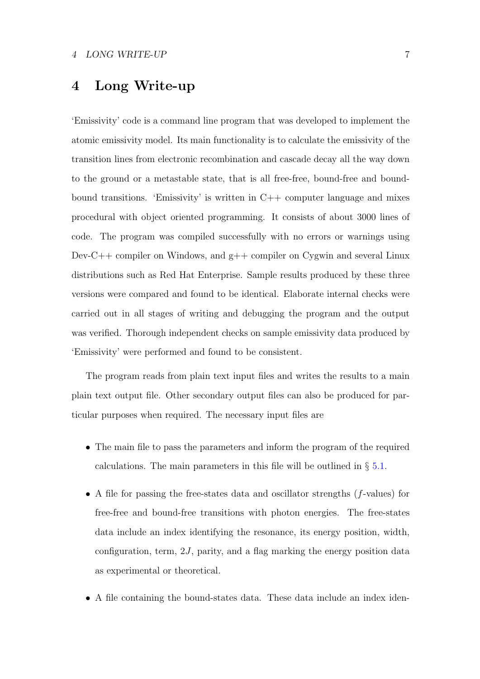### <span id="page-6-0"></span>4 Long Write-up

'Emissivity' code is a command line program that was developed to implement the atomic emissivity model. Its main functionality is to calculate the emissivity of the transition lines from electronic recombination and cascade decay all the way down to the ground or a metastable state, that is all free-free, bound-free and boundbound transitions. 'Emissivity' is written in C++ computer language and mixes procedural with object oriented programming. It consists of about 3000 lines of code. The program was compiled successfully with no errors or warnings using Dev-C++ compiler on Windows, and g++ compiler on Cygwin and several Linux distributions such as Red Hat Enterprise. Sample results produced by these three versions were compared and found to be identical. Elaborate internal checks were carried out in all stages of writing and debugging the program and the output was verified. Thorough independent checks on sample emissivity data produced by 'Emissivity' were performed and found to be consistent.

The program reads from plain text input files and writes the results to a main plain text output file. Other secondary output files can also be produced for particular purposes when required. The necessary input files are

- The main file to pass the parameters and inform the program of the required calculations. The main parameters in this file will be outlined in  $\S 5.1$ .
- A file for passing the free-states data and oscillator strengths (f-values) for free-free and bound-free transitions with photon energies. The free-states data include an index identifying the resonance, its energy position, width, configuration, term,  $2J$ , parity, and a flag marking the energy position data as experimental or theoretical.
- A file containing the bound-states data. These data include an index iden-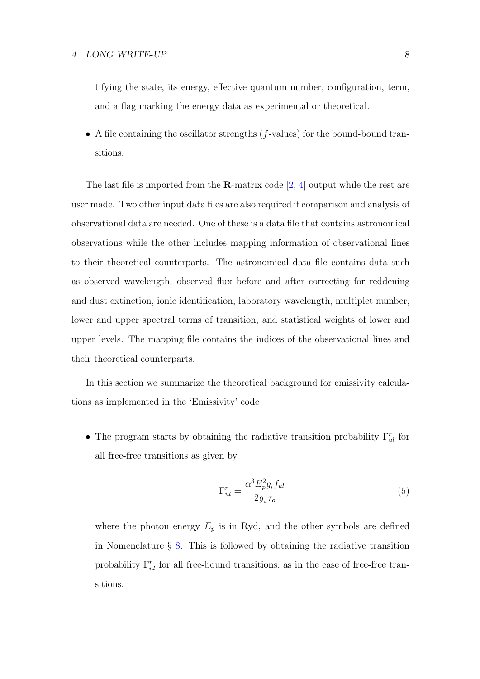<span id="page-7-0"></span>tifying the state, its energy, effective quantum number, configuration, term, and a flag marking the energy data as experimental or theoretical.

• A file containing the oscillator strengths  $(f$ -values) for the bound-bound transitions.

The last file is imported from the **R**-matrix code  $[2, 4]$  $[2, 4]$  output while the rest are user made. Two other input data files are also required if comparison and analysis of observational data are needed. One of these is a data file that contains astronomical observations while the other includes mapping information of observational lines to their theoretical counterparts. The astronomical data file contains data such as observed wavelength, observed flux before and after correcting for reddening and dust extinction, ionic identification, laboratory wavelength, multiplet number, lower and upper spectral terms of transition, and statistical weights of lower and upper levels. The mapping file contains the indices of the observational lines and their theoretical counterparts.

In this section we summarize the theoretical background for emissivity calculations as implemented in the 'Emissivity' code

• The program starts by obtaining the radiative transition probability  $\Gamma_{ul}^r$  for all free-free transitions as given by

$$
\Gamma_{ul}^r = \frac{\alpha^3 E_p^2 g_l f_{ul}}{2g_u \tau_o} \tag{5}
$$

where the photon energy  $E_p$  is in Ryd, and the other symbols are defined in Nomenclature  $\S$  [8.](#page-17-0) This is followed by obtaining the radiative transition probability  $\Gamma_{ul}^r$  for all free-bound transitions, as in the case of free-free transitions.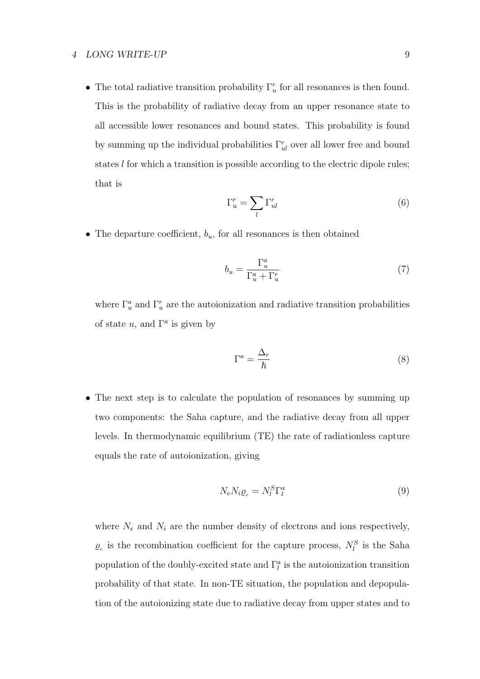• The total radiative transition probability  $\Gamma_u^r$  for all resonances is then found. This is the probability of radiative decay from an upper resonance state to all accessible lower resonances and bound states. This probability is found by summing up the individual probabilities  $\Gamma_{ul}^r$  over all lower free and bound states l for which a transition is possible according to the electric dipole rules; that is

<span id="page-8-1"></span>
$$
\Gamma_u^r = \sum_l \Gamma_{ul}^r \tag{6}
$$

• The departure coefficient,  $b_u$ , for all resonances is then obtained

$$
b_u = \frac{\Gamma_u^a}{\Gamma_u^a + \Gamma_u^r} \tag{7}
$$

where  $\Gamma_u^a$  and  $\Gamma_u^r$  are the autoionization and radiative transition probabilities of state u, and  $\Gamma^a$  is given by

$$
\Gamma^a = \frac{\Delta_r}{\hbar} \tag{8}
$$

• The next step is to calculate the population of resonances by summing up two components: the Saha capture, and the radiative decay from all upper levels. In thermodynamic equilibrium (TE) the rate of radiationless capture equals the rate of autoionization, giving

<span id="page-8-0"></span>
$$
N_e N_i \varrho_c = N_l^S \Gamma_l^a \tag{9}
$$

where  $N_e$  and  $N_i$  are the number density of electrons and ions respectively,  $\varrho_c$  is the recombination coefficient for the capture process,  $N_l^S$  is the Saha population of the doubly-excited state and  $\Gamma_l^a$  is the autoionization transition probability of that state. In non-TE situation, the population and depopulation of the autoionizing state due to radiative decay from upper states and to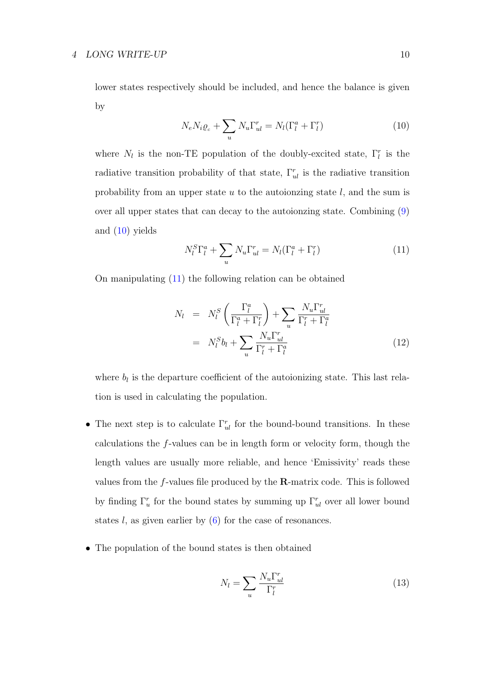lower states respectively should be included, and hence the balance is given by

<span id="page-9-0"></span>
$$
N_e N_i \varrho_c + \sum_u N_u \Gamma_{ul}^r = N_l (\Gamma_l^a + \Gamma_l^r)
$$
\n(10)

where  $N_l$  is the non-TE population of the doubly-excited state,  $\Gamma_l^r$  is the radiative transition probability of that state,  $\Gamma_{ul}^r$  is the radiative transition probability from an upper state  $u$  to the autoionzing state  $l$ , and the sum is over all upper states that can decay to the autoionzing state. Combining [\(9\)](#page-8-0) and [\(10\)](#page-9-0) yields

<span id="page-9-1"></span>
$$
N_l^S \Gamma_l^a + \sum_u N_u \Gamma_{ul}^r = N_l (\Gamma_l^a + \Gamma_l^r)
$$
\n(11)

On manipulating [\(11\)](#page-9-1) the following relation can be obtained

$$
N_l = N_l^S \left( \frac{\Gamma_l^a}{\Gamma_l^a + \Gamma_l^r} \right) + \sum_u \frac{N_u \Gamma_{ul}^r}{\Gamma_l^r + \Gamma_l^a}
$$
  

$$
= N_l^S b_l + \sum_u \frac{N_u \Gamma_{ul}^r}{\Gamma_l^r + \Gamma_l^a}
$$
(12)

where  $b_l$  is the departure coefficient of the autoionizing state. This last relation is used in calculating the population.

- The next step is to calculate  $\Gamma_{ul}^r$  for the bound-bound transitions. In these calculations the f-values can be in length form or velocity form, though the length values are usually more reliable, and hence 'Emissivity' reads these values from the  $f$ -values file produced by the  $\bf R$ -matrix code. This is followed by finding  $\Gamma_u^r$  for the bound states by summing up  $\Gamma_u^r$  over all lower bound states l, as given earlier by  $(6)$  for the case of resonances.
- The population of the bound states is then obtained

$$
N_l = \sum_u \frac{N_u \Gamma_{ul}^r}{\Gamma_l^r} \tag{13}
$$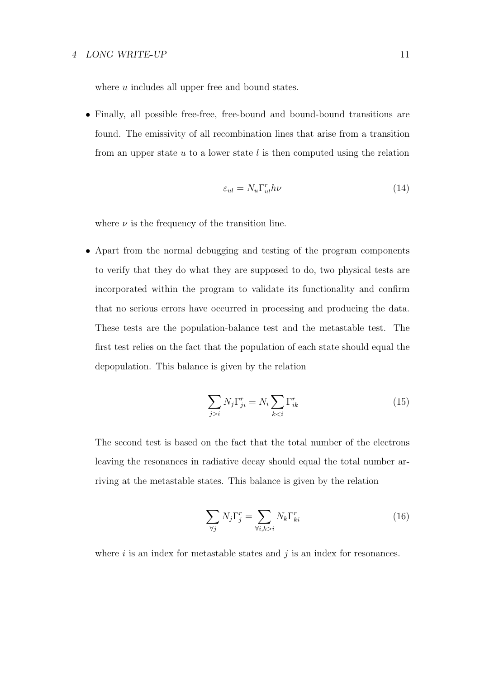where  $u$  includes all upper free and bound states.

• Finally, all possible free-free, free-bound and bound-bound transitions are found. The emissivity of all recombination lines that arise from a transition from an upper state  $u$  to a lower state  $l$  is then computed using the relation

$$
\varepsilon_{ul} = N_u \Gamma_{ul}^r h\nu \tag{14}
$$

where  $\nu$  is the frequency of the transition line.

• Apart from the normal debugging and testing of the program components to verify that they do what they are supposed to do, two physical tests are incorporated within the program to validate its functionality and confirm that no serious errors have occurred in processing and producing the data. These tests are the population-balance test and the metastable test. The first test relies on the fact that the population of each state should equal the depopulation. This balance is given by the relation

$$
\sum_{j>i} N_j \Gamma_{ji}^r = N_i \sum_{k < i} \Gamma_{ik}^r \tag{15}
$$

The second test is based on the fact that the total number of the electrons leaving the resonances in radiative decay should equal the total number arriving at the metastable states. This balance is given by the relation

$$
\sum_{\forall j} N_j \Gamma_j^r = \sum_{\forall i, k > i} N_k \Gamma_{ki}^r \tag{16}
$$

where  $i$  is an index for metastable states and  $j$  is an index for resonances.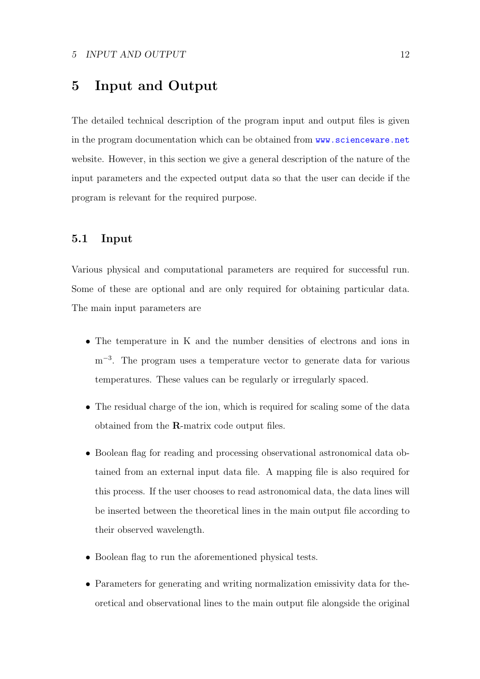### <span id="page-11-0"></span>5 Input and Output

The detailed technical description of the program input and output files is given in the program documentation which can be obtained from  $www.scienceware.net$ website. However, in this section we give a general description of the nature of the input parameters and the expected output data so that the user can decide if the program is relevant for the required purpose.

#### <span id="page-11-1"></span>5.1 Input

Various physical and computational parameters are required for successful run. Some of these are optional and are only required for obtaining particular data. The main input parameters are

- The temperature in K and the number densities of electrons and ions in m<sup>-3</sup>. The program uses a temperature vector to generate data for various temperatures. These values can be regularly or irregularly spaced.
- The residual charge of the ion, which is required for scaling some of the data obtained from the R-matrix code output files.
- Boolean flag for reading and processing observational astronomical data obtained from an external input data file. A mapping file is also required for this process. If the user chooses to read astronomical data, the data lines will be inserted between the theoretical lines in the main output file according to their observed wavelength.
- Boolean flag to run the aforementioned physical tests.
- Parameters for generating and writing normalization emissivity data for theoretical and observational lines to the main output file alongside the original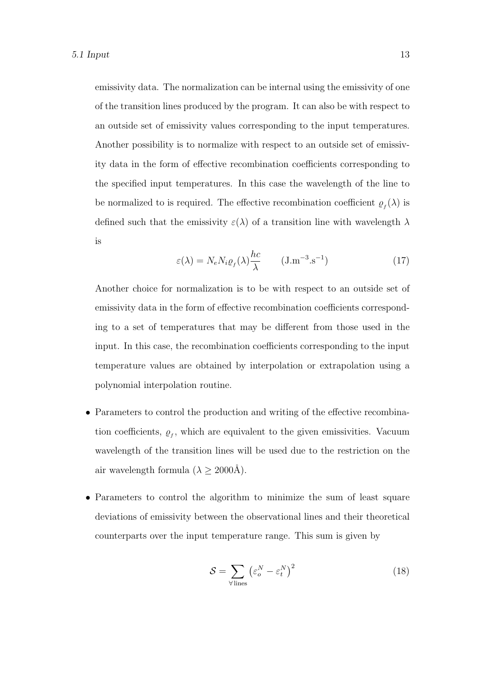emissivity data. The normalization can be internal using the emissivity of one of the transition lines produced by the program. It can also be with respect to an outside set of emissivity values corresponding to the input temperatures. Another possibility is to normalize with respect to an outside set of emissivity data in the form of effective recombination coefficients corresponding to the specified input temperatures. In this case the wavelength of the line to be normalized to is required. The effective recombination coefficient  $\rho_f(\lambda)$  is defined such that the emissivity  $\varepsilon(\lambda)$  of a transition line with wavelength  $\lambda$ is

$$
\varepsilon(\lambda) = N_e N_i \varrho_f(\lambda) \frac{hc}{\lambda} \qquad \text{(J.m}^{-3} \text{.s}^{-1}) \tag{17}
$$

Another choice for normalization is to be with respect to an outside set of emissivity data in the form of effective recombination coefficients corresponding to a set of temperatures that may be different from those used in the input. In this case, the recombination coefficients corresponding to the input temperature values are obtained by interpolation or extrapolation using a polynomial interpolation routine.

- Parameters to control the production and writing of the effective recombination coefficients,  $\varrho_f$ , which are equivalent to the given emissivities. Vacuum wavelength of the transition lines will be used due to the restriction on the air wavelength formula  $(\lambda \geq 2000$ Å).
- Parameters to control the algorithm to minimize the sum of least square deviations of emissivity between the observational lines and their theoretical counterparts over the input temperature range. This sum is given by

$$
S = \sum_{\forall \text{lines}} \left(\varepsilon_o^N - \varepsilon_t^N\right)^2 \tag{18}
$$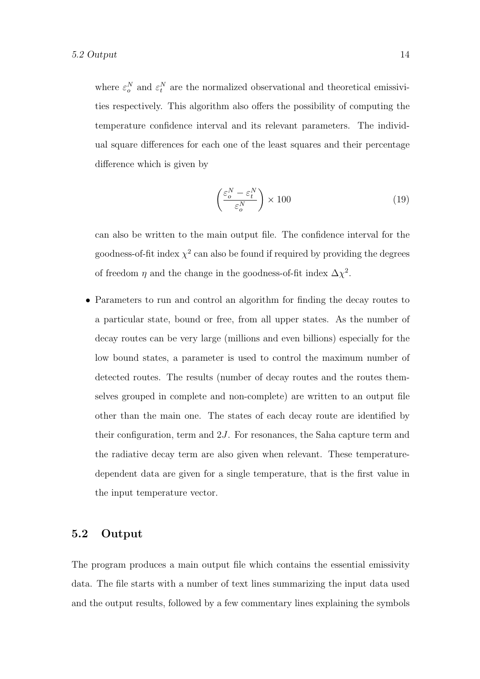where  $\varepsilon_o^N$  and  $\varepsilon_t^N$  are the normalized observational and theoretical emissivities respectively. This algorithm also offers the possibility of computing the temperature confidence interval and its relevant parameters. The individual square differences for each one of the least squares and their percentage difference which is given by

$$
\left(\frac{\varepsilon_o^N - \varepsilon_t^N}{\varepsilon_o^N}\right) \times 100\tag{19}
$$

can also be written to the main output file. The confidence interval for the goodness-of-fit index  $\chi^2$  can also be found if required by providing the degrees of freedom  $\eta$  and the change in the goodness-of-fit index  $\Delta \chi^2$ .

• Parameters to run and control an algorithm for finding the decay routes to a particular state, bound or free, from all upper states. As the number of decay routes can be very large (millions and even billions) especially for the low bound states, a parameter is used to control the maximum number of detected routes. The results (number of decay routes and the routes themselves grouped in complete and non-complete) are written to an output file other than the main one. The states of each decay route are identified by their configuration, term and  $2J$ . For resonances, the Saha capture term and the radiative decay term are also given when relevant. These temperaturedependent data are given for a single temperature, that is the first value in the input temperature vector.

#### <span id="page-13-0"></span>5.2 Output

The program produces a main output file which contains the essential emissivity data. The file starts with a number of text lines summarizing the input data used and the output results, followed by a few commentary lines explaining the symbols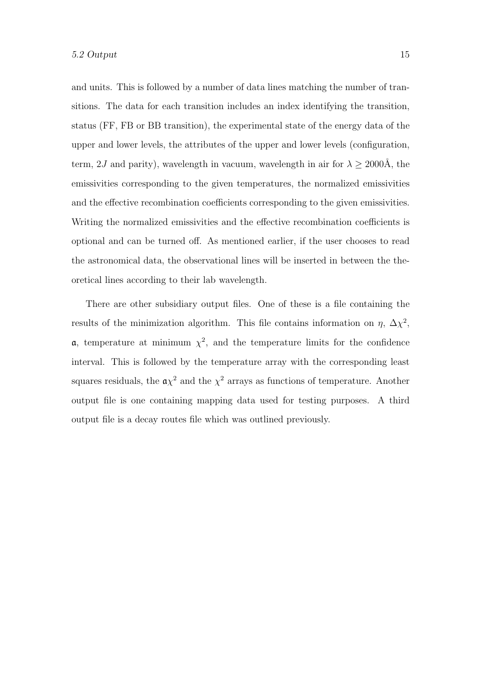and units. This is followed by a number of data lines matching the number of transitions. The data for each transition includes an index identifying the transition, status (FF, FB or BB transition), the experimental state of the energy data of the upper and lower levels, the attributes of the upper and lower levels (configuration, term, 2J and parity), wavelength in vacuum, wavelength in air for  $\lambda \geq 2000$ Å, the emissivities corresponding to the given temperatures, the normalized emissivities and the effective recombination coefficients corresponding to the given emissivities. Writing the normalized emissivities and the effective recombination coefficients is optional and can be turned off. As mentioned earlier, if the user chooses to read the astronomical data, the observational lines will be inserted in between the theoretical lines according to their lab wavelength.

There are other subsidiary output files. One of these is a file containing the results of the minimization algorithm. This file contains information on  $\eta$ ,  $\Delta \chi^2$ , **a**, temperature at minimum  $\chi^2$ , and the temperature limits for the confidence interval. This is followed by the temperature array with the corresponding least squares residuals, the  $a\chi^2$  and the  $\chi^2$  arrays as functions of temperature. Another output file is one containing mapping data used for testing purposes. A third output file is a decay routes file which was outlined previously.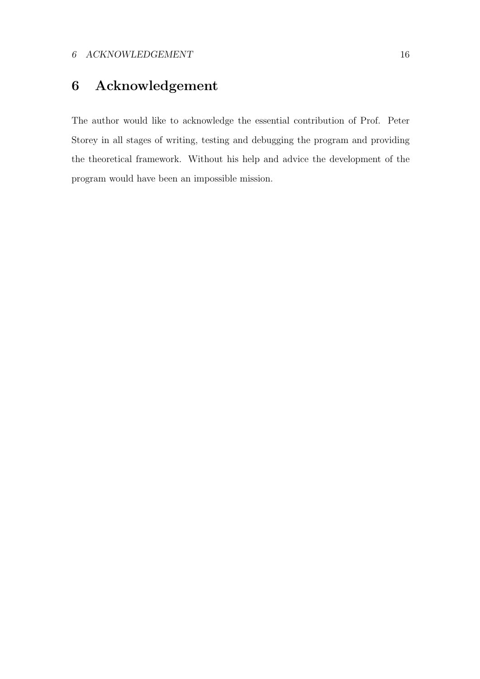# <span id="page-15-0"></span>6 Acknowledgement

The author would like to acknowledge the essential contribution of Prof. Peter Storey in all stages of writing, testing and debugging the program and providing the theoretical framework. Without his help and advice the development of the program would have been an impossible mission.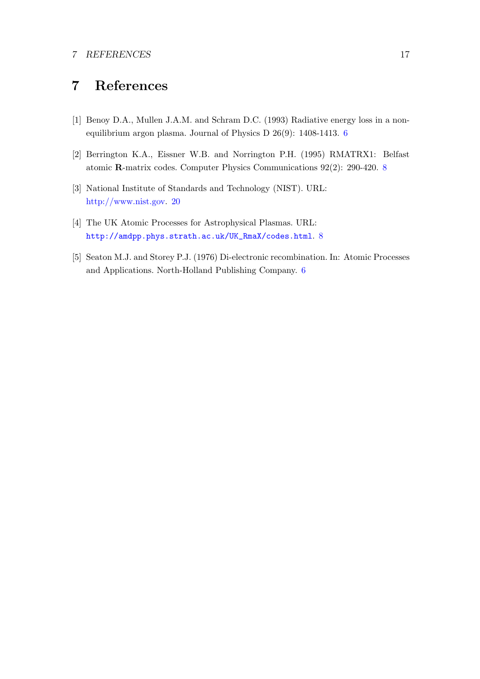# <span id="page-16-0"></span>7 References

- <span id="page-16-1"></span>[1] Benoy D.A., Mullen J.A.M. and Schram D.C. (1993) Radiative energy loss in a nonequilibrium argon plasma. Journal of Physics D 26(9): 1408-1413. [6](#page-5-2)
- <span id="page-16-3"></span>[2] Berrington K.A., Eissner W.B. and Norrington P.H. (1995) RMATRX1: Belfast atomic R-matrix codes. Computer Physics Communications 92(2): 290-420. [8](#page-7-0)
- <span id="page-16-5"></span>[3] National Institute of Standards and Technology (NIST). URL: [http://www.nist.gov.](http://www.nist.gov) [20](#page-19-0)
- <span id="page-16-4"></span>[4] The UK Atomic Processes for Astrophysical Plasmas. URL: [http://amdpp.phys.strath.ac.uk/UK\\_RmaX/codes.html](http://amdpp.phys.strath.ac.uk/UK_RmaX/codes.html). [8](#page-7-0)
- <span id="page-16-2"></span>[5] Seaton M.J. and Storey P.J. (1976) Di-electronic recombination. In: Atomic Processes and Applications. North-Holland Publishing Company. [6](#page-5-2)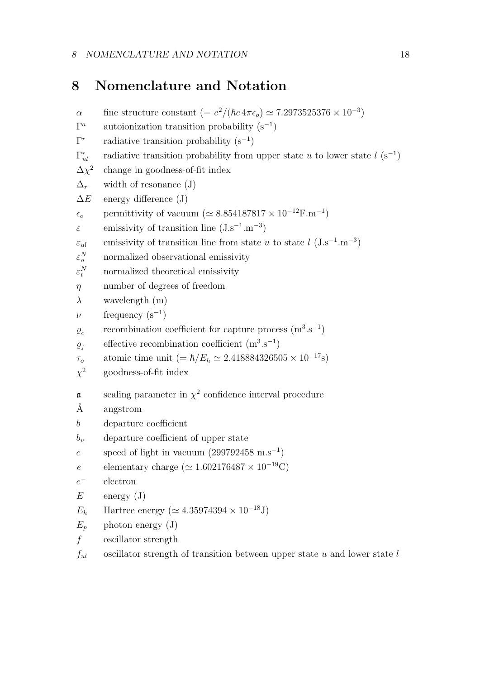### <span id="page-17-0"></span>8 Nomenclature and Notation

α fine structure constant  $(= e^2/(\hbar c 4\pi \epsilon_o) \simeq 7.2973525376 \times 10^{-3})$  $\Gamma^a$ <sup>a</sup> autoionization transition probability  $(s^{-1})$  $\Gamma^r$ radiative transition probability  $(s^{-1})$  $\Gamma_n^r$ radiative transition probability from upper state u to lower state  $l$  (s<sup>-1</sup>)  $\Delta\chi^2$ change in goodness-of-fit index  $\Delta_r$  width of resonance (J)  $\Delta E$  energy difference (J)  $\epsilon_o$  permittivity of vacuum ( $\simeq 8.854187817 \times 10^{-12} \text{F} \cdot \text{m}^{-1}$ )  $\varepsilon$  emissivity of transition line (J.s<sup>-1</sup>.m<sup>-3</sup>)  $\varepsilon_{ul}$  emissivity of transition line from state u to state l (J.s<sup>-1</sup>.m<sup>-3</sup>)  $\varepsilon_o^N$ normalized observational emissivity  $\varepsilon_t^N$ normalized theoretical emissivity  $\eta$  number of degrees of freedom  $\lambda$  wavelength (m)  $\nu$  frequency (s<sup>-1</sup>)  $\varrho_{c}$ recombination coefficient for capture process  $(m^3.s^{-1})$  $\varrho$ <sub>f</sub> effective recombination coefficient  $(m^3.s^{-1})$  $\tau_o$  atomic time unit (=  $\hbar/E_h \simeq 2.418884326505 \times 10^{-17}$ s)  $\chi^2$ <sup>2</sup> goodness-of-fit index a scaling parameter in  $\chi^2$  confidence interval procedure Å angstrom b departure coefficient  $b_u$  departure coefficient of upper state c speed of light in vacuum  $(299792458 \text{ m.s}^{-1})$ e elementary charge ( $\simeq 1.602176487 \times 10^{-19}$ C)  $e^-$ <sup>−</sup> electron  $E$  energy  $(J)$  $E_h$  Hartree energy ( $\simeq 4.35974394 \times 10^{-18}$ J)  $E_n$  photon energy (J) f oscillator strength  $f_{ul}$  oscillator strength of transition between upper state u and lower state l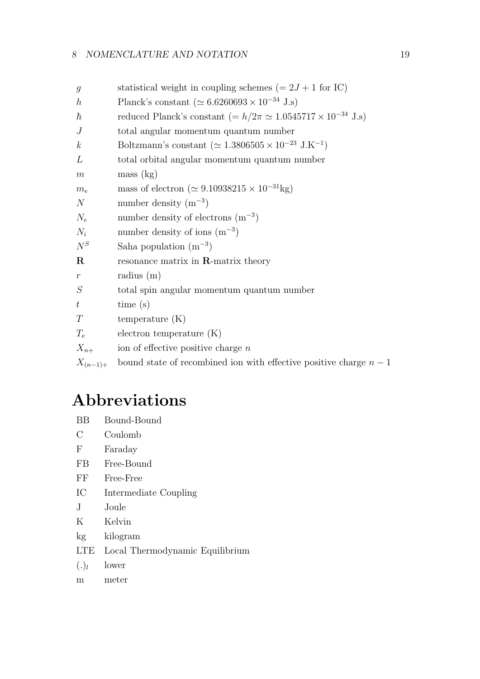#### 8 NOMENCLATURE AND NOTATION 19

| $\mathfrak{g}$   | statistical weight in coupling schemes $(= 2J + 1$ for IC)                    |
|------------------|-------------------------------------------------------------------------------|
| $\boldsymbol{h}$ | Planck's constant ( $\simeq 6.6260693 \times 10^{-34}$ J.s)                   |
| $\hbar$          | reduced Planck's constant (= $h/2\pi \simeq 1.0545717 \times 10^{-34}$ J.s)   |
| $\overline{J}$   | total angular momentum quantum number                                         |
| $\boldsymbol{k}$ | Boltzmann's constant ( $\simeq 1.3806505 \times 10^{-23}$ J.K <sup>-1</sup> ) |
| L                | total orbital angular momentum quantum number                                 |
| m                | mass (kg)                                                                     |
| $m_e$            | mass of electron ( $\simeq 9.10938215 \times 10^{-31}$ kg)                    |
| N                | number density $(m^{-3})$                                                     |
| $N_e$            | number density of electrons $(m^{-3})$                                        |
| $N_i$            | number density of ions $(m^{-3})$                                             |
| $N^S$            | Saha population $(m^{-3})$                                                    |
| $\mathbf R$      | resonance matrix in $\mathbf{R}$ -matrix theory                               |
| $\,r\,$          | radius $(m)$                                                                  |
| S                | total spin angular momentum quantum number                                    |
| $t\,$            | time(s)                                                                       |
| T                | temperature $(K)$                                                             |
| $T_e$            | electron temperature $(K)$                                                    |
| $X_{n+}$         | ion of effective positive charge $n$                                          |
| $X_{(n-1)+}$     | bound state of recombined ion with effective positive charge $n-1$            |
|                  |                                                                               |

# Abbreviations

- BB Bound-Bound
- C Coulomb
- F Faraday
- FB Free-Bound
- FF Free-Free
- IC Intermediate Coupling
- J Joule
- K Kelvin
- kg kilogram
- LTE Local Thermodynamic Equilibrium
- $(.)_l$ lower
- m meter